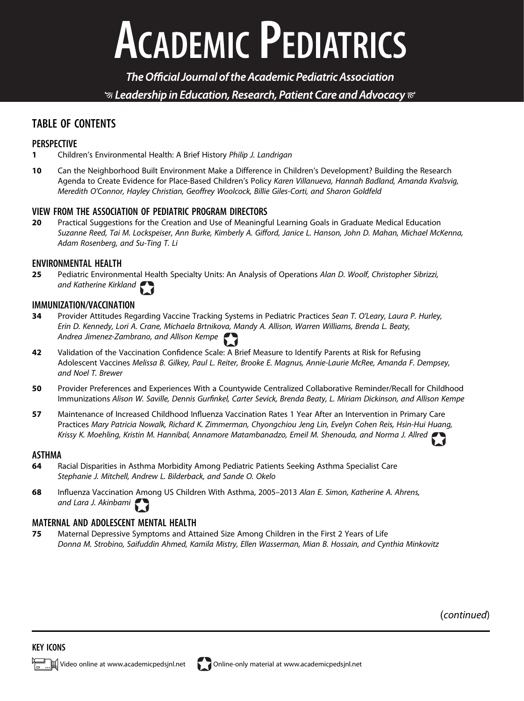# **ACADEMIC PEDIATRICS**

The Official Journal of the Academic Pediatric Association  $\mathcal G$  Leadership in Education, Research, Patient Care and Advocacy  $\mathcal C$ 

## TABLE OF CONTENTS

## PERSPECTIVE

- 1 Children's Environmental Health: A Brief History Philip J. Landrigan
- 10 Can the Neighborhood Built Environment Make a Difference in Children's Development? Building the Research Agenda to Create Evidence for Place-Based Children's Policy Karen Villanueva, Hannah Badland, Amanda Kvalsvig, Meredith O'Connor, Hayley Christian, Geoffrey Woolcock, Billie Giles-Corti, and Sharon Goldfeld

## VIEW FROM THE ASSOCIATION OF PEDIATRIC PROGRAM DIRECTORS

20 Practical Suggestions for the Creation and Use of Meaningful Learning Goals in Graduate Medical Education Suzanne Reed, Tai M. Lockspeiser, Ann Burke, Kimberly A. Gifford, Janice L. Hanson, John D. Mahan, Michael McKenna, Adam Rosenberg, and Su-Ting T. Li

## **ENVIRONMENTAL HEALTH**<br>**25** Pediatric Environm

Pediatric Environmental Health Specialty Units: An Analysis of Operations Alan D. Woolf, Christopher Sibrizzi, and Katherine Kirkland

## IMMUNIZATION/VACCINATION

- 34 Provider Attitudes Regarding Vaccine Tracking Systems in Pediatric Practices Sean T. O'Leary, Laura P. Hurley, Erin D. Kennedy, Lori A. Crane, Michaela Brtnikova, Mandy A. Allison, Warren Williams, Brenda L. Beaty, Andrea Jimenez-Zambrano, and Allison Kempe
- 42 Validation of the Vaccination Confidence Scale: A Brief Measure to Identify Parents at Risk for Refusing Adolescent Vaccines Melissa B. Gilkey, Paul L. Reiter, Brooke E. Magnus, Annie-Laurie McRee, Amanda F. Dempsey, and Noel T. Brewer
- 50 Provider Preferences and Experiences With a Countywide Centralized Collaborative Reminder/Recall for Childhood Immunizations Alison W. Saville, Dennis Gurfinkel, Carter Sevick, Brenda Beaty, L. Miriam Dickinson, and Allison Kempe
- 57 Maintenance of Increased Childhood Influenza Vaccination Rates 1 Year After an Intervention in Primary Care Practices Mary Patricia Nowalk, Richard K. Zimmerman, Chyongchiou Jeng Lin, Evelyn Cohen Reis, Hsin-Hui Huang, Krissy K. Moehling, Kristin M. Hannibal, Annamore Matambanadzo, Emeil M. Shenouda, and Norma J. Allred

#### ASTHMA

- 64 Racial Disparities in Asthma Morbidity Among Pediatric Patients Seeking Asthma Specialist Care Stephanie J. Mitchell, Andrew L. Bilderback, and Sande O. Okelo
- 68 Influenza Vaccination Among US Children With Asthma, 2005–2013 Alan E. Simon, Katherine A. Ahrens, and Lara J. Akinbami

## MATERNAL AND ADOLESCENT MENTAL HEALTH

75 Maternal Depressive Symptoms and Attained Size Among Children in the First 2 Years of Life Donna M. Strobino, Saifuddin Ahmed, Kamila Mistry, Ellen Wasserman, Mian B. Hossain, and Cynthia Minkovitz

(continued)